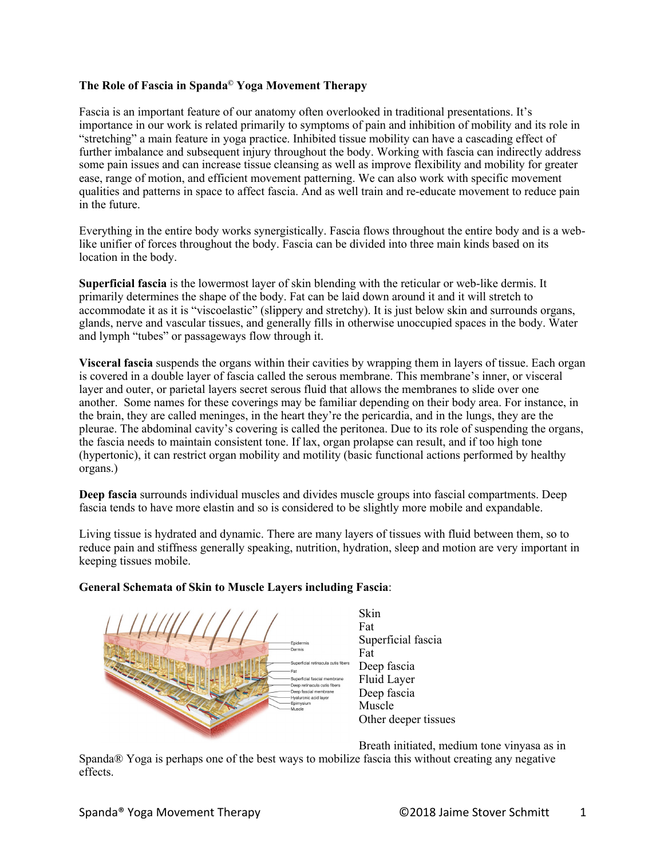## **The Role of Fascia in Spanda© Yoga Movement Therapy**

Fascia is an important feature of our anatomy often overlooked in traditional presentations. It's importance in our work is related primarily to symptoms of pain and inhibition of mobility and its role in "stretching" a main feature in yoga practice. Inhibited tissue mobility can have a cascading effect of further imbalance and subsequent injury throughout the body. Working with fascia can indirectly address some pain issues and can increase tissue cleansing as well as improve flexibility and mobility for greater ease, range of motion, and efficient movement patterning. We can also work with specific movement qualities and patterns in space to affect fascia. And as well train and re-educate movement to reduce pain in the future.

Everything in the entire body works synergistically. Fascia flows throughout the entire body and is a weblike unifier of forces throughout the body. Fascia can be divided into three main kinds based on its location in the body.

**Superficial fascia** is the lowermost layer of skin blending with the reticular or web-like dermis. It primarily determines the shape of the body. Fat can be laid down around it and it will stretch to accommodate it as it is "viscoelastic" (slippery and stretchy). It is just below skin and surrounds organs, glands, nerve and vascular tissues, and generally fills in otherwise unoccupied spaces in the body. Water and lymph "tubes" or passageways flow through it.

**Visceral fascia** suspends the organs within their cavities by wrapping them in layers of tissue. Each organ is covered in a double layer of fascia called the serous membrane. This membrane's inner, or visceral layer and outer, or parietal layers secret serous fluid that allows the membranes to slide over one another. Some names for these coverings may be familiar depending on their body area. For instance, in the brain, they are called meninges, in the heart they're the pericardia, and in the lungs, they are the pleurae. The abdominal cavity's covering is called the peritonea. Due to its role of suspending the organs, the fascia needs to maintain consistent tone. If lax, organ prolapse can result, and if too high tone (hypertonic), it can restrict organ mobility and motility (basic functional actions performed by healthy organs.)

**Deep fascia** surrounds individual muscles and divides muscle groups into fascial compartments. Deep fascia tends to have more elastin and so is considered to be slightly more mobile and expandable.

Living tissue is hydrated and dynamic. There are many layers of tissues with fluid between them, so to reduce pain and stiffness generally speaking, nutrition, hydration, sleep and motion are very important in keeping tissues mobile.



# **General Schemata of Skin to Muscle Layers including Fascia**:

Breath initiated, medium tone vinyasa as in

Spanda® Yoga is perhaps one of the best ways to mobilize fascia this without creating any negative effects.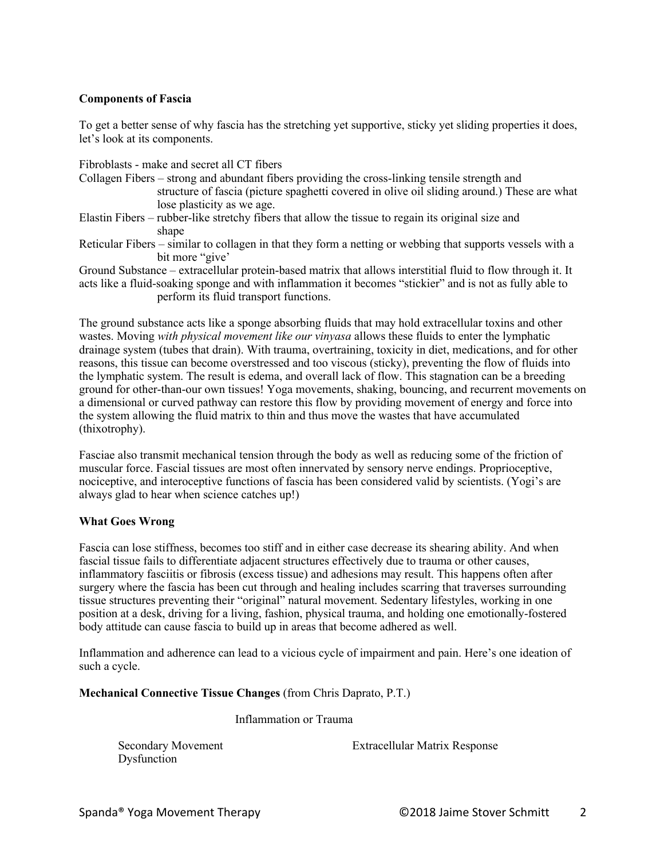## **Components of Fascia**

To get a better sense of why fascia has the stretching yet supportive, sticky yet sliding properties it does, let's look at its components.

Fibroblasts - make and secret all CT fibers

Collagen Fibers – strong and abundant fibers providing the cross-linking tensile strength and structure of fascia (picture spaghetti covered in olive oil sliding around.) These are what lose plasticity as we age.

- Elastin Fibers rubber-like stretchy fibers that allow the tissue to regain its original size and shape
- Reticular Fibers similar to collagen in that they form a netting or webbing that supports vessels with a bit more "give'

Ground Substance – extracellular protein-based matrix that allows interstitial fluid to flow through it. It acts like a fluid-soaking sponge and with inflammation it becomes "stickier" and is not as fully able to perform its fluid transport functions.

The ground substance acts like a sponge absorbing fluids that may hold extracellular toxins and other wastes. Moving *with physical movement like our vinyasa* allows these fluids to enter the lymphatic drainage system (tubes that drain). With trauma, overtraining, toxicity in diet, medications, and for other reasons, this tissue can become overstressed and too viscous (sticky), preventing the flow of fluids into the lymphatic system. The result is edema, and overall lack of flow. This stagnation can be a breeding ground for other-than-our own tissues! Yoga movements, shaking, bouncing, and recurrent movements on a dimensional or curved pathway can restore this flow by providing movement of energy and force into the system allowing the fluid matrix to thin and thus move the wastes that have accumulated (thixotrophy).

Fasciae also transmit mechanical tension through the body as well as reducing some of the friction of muscular force. Fascial tissues are most often innervated by sensory nerve endings. Proprioceptive, nociceptive, and interoceptive functions of fascia has been considered valid by scientists. (Yogi's are always glad to hear when science catches up!)

### **What Goes Wrong**

Fascia can lose stiffness, becomes too stiff and in either case decrease its shearing ability. And when fascial tissue fails to differentiate adjacent structures effectively due to trauma or other causes, inflammatory fasciitis or fibrosis (excess tissue) and adhesions may result. This happens often after surgery where the fascia has been cut through and healing includes scarring that traverses surrounding tissue structures preventing their "original" natural movement. Sedentary lifestyles, working in one position at a desk, driving for a living, fashion, physical trauma, and holding one emotionally-fostered body attitude can cause fascia to build up in areas that become adhered as well.

Inflammation and adherence can lead to a vicious cycle of impairment and pain. Here's one ideation of such a cycle.

### **Mechanical Connective Tissue Changes** (from Chris Daprato, P.T.)

Inflammation or Trauma

Dysfunction

Secondary Movement **Extracellular Matrix Response**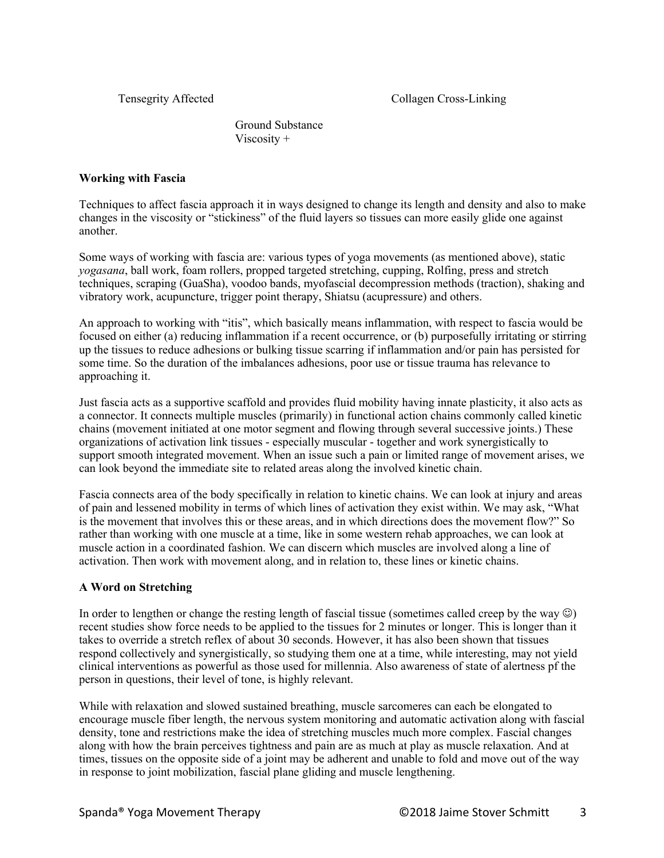Ground Substance Viscosity +

## **Working with Fascia**

Techniques to affect fascia approach it in ways designed to change its length and density and also to make changes in the viscosity or "stickiness" of the fluid layers so tissues can more easily glide one against another.

Some ways of working with fascia are: various types of yoga movements (as mentioned above), static *yogasana*, ball work, foam rollers, propped targeted stretching, cupping, Rolfing, press and stretch techniques, scraping (GuaSha), voodoo bands, myofascial decompression methods (traction), shaking and vibratory work, acupuncture, trigger point therapy, Shiatsu (acupressure) and others.

An approach to working with "itis", which basically means inflammation, with respect to fascia would be focused on either (a) reducing inflammation if a recent occurrence, or (b) purposefully irritating or stirring up the tissues to reduce adhesions or bulking tissue scarring if inflammation and/or pain has persisted for some time. So the duration of the imbalances adhesions, poor use or tissue trauma has relevance to approaching it.

Just fascia acts as a supportive scaffold and provides fluid mobility having innate plasticity, it also acts as a connector. It connects multiple muscles (primarily) in functional action chains commonly called kinetic chains (movement initiated at one motor segment and flowing through several successive joints.) These organizations of activation link tissues - especially muscular - together and work synergistically to support smooth integrated movement. When an issue such a pain or limited range of movement arises, we can look beyond the immediate site to related areas along the involved kinetic chain.

Fascia connects area of the body specifically in relation to kinetic chains. We can look at injury and areas of pain and lessened mobility in terms of which lines of activation they exist within. We may ask, "What is the movement that involves this or these areas, and in which directions does the movement flow?" So rather than working with one muscle at a time, like in some western rehab approaches, we can look at muscle action in a coordinated fashion. We can discern which muscles are involved along a line of activation. Then work with movement along, and in relation to, these lines or kinetic chains.

# **A Word on Stretching**

In order to lengthen or change the resting length of fascial tissue (sometimes called creep by the way  $\circledcirc$ ) recent studies show force needs to be applied to the tissues for 2 minutes or longer. This is longer than it takes to override a stretch reflex of about 30 seconds. However, it has also been shown that tissues respond collectively and synergistically, so studying them one at a time, while interesting, may not yield clinical interventions as powerful as those used for millennia. Also awareness of state of alertness pf the person in questions, their level of tone, is highly relevant.

While with relaxation and slowed sustained breathing, muscle sarcomeres can each be elongated to encourage muscle fiber length, the nervous system monitoring and automatic activation along with fascial density, tone and restrictions make the idea of stretching muscles much more complex. Fascial changes along with how the brain perceives tightness and pain are as much at play as muscle relaxation. And at times, tissues on the opposite side of a joint may be adherent and unable to fold and move out of the way in response to joint mobilization, fascial plane gliding and muscle lengthening.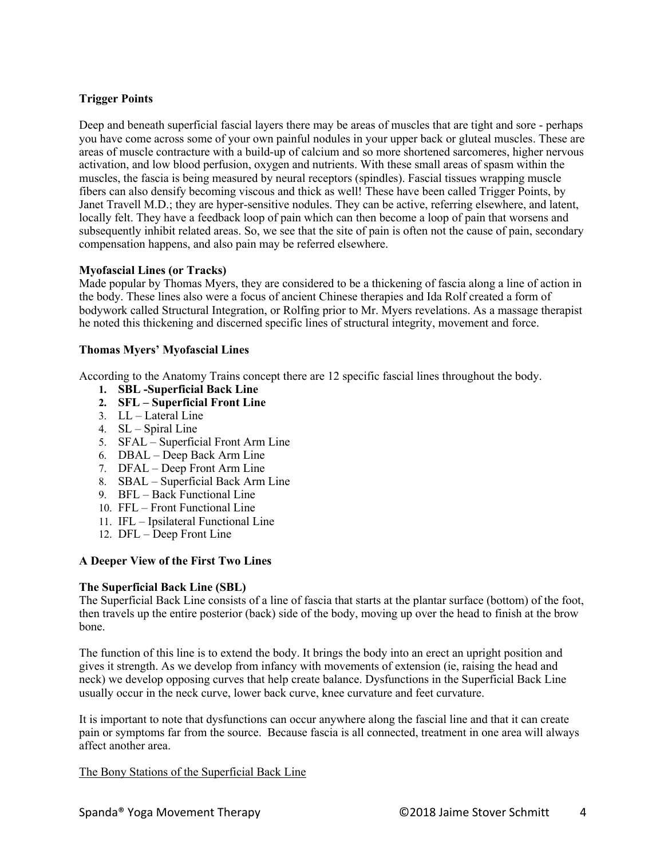## **Trigger Points**

Deep and beneath superficial fascial layers there may be areas of muscles that are tight and sore - perhaps you have come across some of your own painful nodules in your upper back or gluteal muscles. These are areas of muscle contracture with a build-up of calcium and so more shortened sarcomeres, higher nervous activation, and low blood perfusion, oxygen and nutrients. With these small areas of spasm within the muscles, the fascia is being measured by neural receptors (spindles). Fascial tissues wrapping muscle fibers can also densify becoming viscous and thick as well! These have been called Trigger Points, by Janet Travell M.D.; they are hyper-sensitive nodules. They can be active, referring elsewhere, and latent, locally felt. They have a feedback loop of pain which can then become a loop of pain that worsens and subsequently inhibit related areas. So, we see that the site of pain is often not the cause of pain, secondary compensation happens, and also pain may be referred elsewhere.

#### **Myofascial Lines (or Tracks)**

Made popular by Thomas Myers, they are considered to be a thickening of fascia along a line of action in the body. These lines also were a focus of ancient Chinese therapies and Ida Rolf created a form of bodywork called Structural Integration, or Rolfing prior to Mr. Myers revelations. As a massage therapist he noted this thickening and discerned specific lines of structural integrity, movement and force.

### **Thomas Myers' Myofascial Lines**

According to the Anatomy Trains concept there are 12 specific fascial lines throughout the body.

- **1. SBL -Superficial Back Line**
- **2. SFL – Superficial Front Line**
- 3. LL Lateral Line
- 4.  $SL -$  Spiral Line
- 5. SFAL Superficial Front Arm Line
- 6. DBAL Deep Back Arm Line
- 7. DFAL Deep Front Arm Line
- 8. SBAL Superficial Back Arm Line
- 9. BFL Back Functional Line
- 10. FFL Front Functional Line
- 11. IFL Ipsilateral Functional Line
- 12. DFL Deep Front Line

### **A Deeper View of the First Two Lines**

#### **The Superficial Back Line (SBL)**

The Superficial Back Line consists of a line of fascia that starts at the plantar surface (bottom) of the foot, then travels up the entire posterior (back) side of the body, moving up over the head to finish at the brow bone.

The function of this line is to extend the body. It brings the body into an erect an upright position and gives it strength. As we develop from infancy with movements of extension (ie, raising the head and neck) we develop opposing curves that help create balance. Dysfunctions in the Superficial Back Line usually occur in the neck curve, lower back curve, knee curvature and feet curvature.

It is important to note that dysfunctions can occur anywhere along the fascial line and that it can create pain or symptoms far from the source. Because fascia is all connected, treatment in one area will always affect another area.

The Bony Stations of the Superficial Back Line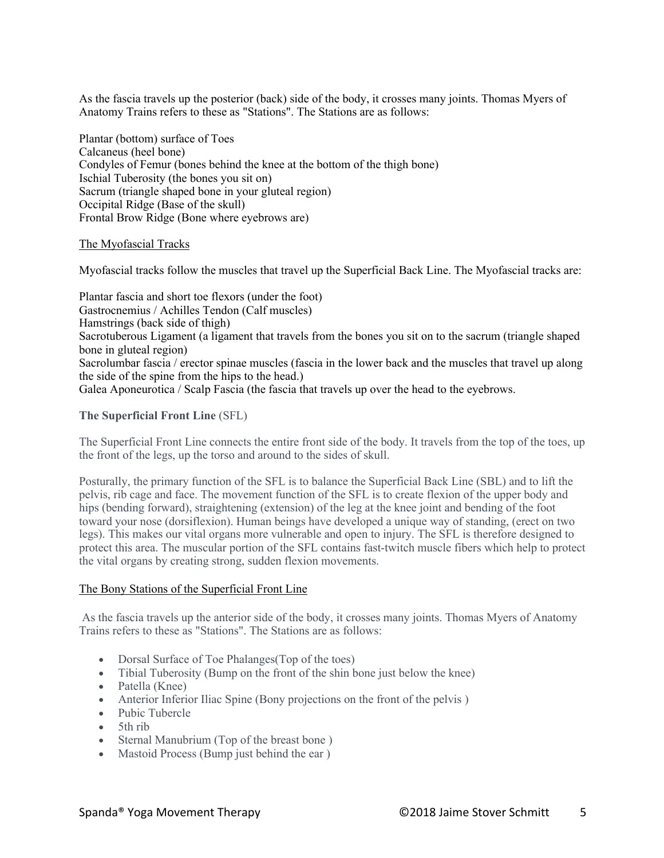As the fascia travels up the posterior (back) side of the body, it crosses many joints. Thomas Myers of Anatomy Trains refers to these as "Stations". The Stations are as follows:

Plantar (bottom) surface of Toes Calcaneus (heel bone) Condyles of Femur (bones behind the knee at the bottom of the thigh bone) Ischial Tuberosity (the bones you sit on) Sacrum (triangle shaped bone in your gluteal region) Occipital Ridge (Base of the skull) Frontal Brow Ridge (Bone where eyebrows are)

#### The Myofascial Tracks

Myofascial tracks follow the muscles that travel up the Superficial Back Line. The Myofascial tracks are:

Plantar fascia and short toe flexors (under the foot) Gastrocnemius / Achilles Tendon (Calf muscles) Hamstrings (back side of thigh) Sacrotuberous Ligament (a ligament that travels from the bones you sit on to the sacrum (triangle shaped bone in gluteal region) Sacrolumbar fascia / erector spinae muscles (fascia in the lower back and the muscles that travel up along the side of the spine from the hips to the head.) Galea Aponeurotica / Scalp Fascia (the fascia that travels up over the head to the eyebrows.

#### **The Superficial Front Line** (SFL)

The Superficial Front Line connects the entire front side of the body. It travels from the top of the toes, up the front of the legs, up the torso and around to the sides of skull.

Posturally, the primary function of the SFL is to balance the Superficial Back Line (SBL) and to lift the pelvis, rib cage and face. The movement function of the SFL is to create flexion of the upper body and hips (bending forward), straightening (extension) of the leg at the knee joint and bending of the foot toward your nose (dorsiflexion). Human beings have developed a unique way of standing, (erect on two legs). This makes our vital organs more vulnerable and open to injury. The SFL is therefore designed to protect this area. The muscular portion of the SFL contains fast-twitch muscle fibers which help to protect the vital organs by creating strong, sudden flexion movements.

#### The Bony Stations of the Superficial Front Line

As the fascia travels up the anterior side of the body, it crosses many joints. Thomas Myers of Anatomy Trains refers to these as "Stations". The Stations are as follows:

- Dorsal Surface of Toe Phalanges (Top of the toes)
- Tibial Tuberosity (Bump on the front of the shin bone just below the knee)
- Patella (Knee)
- Anterior Inferior Iliac Spine (Bony projections on the front of the pelvis)
- Pubic Tubercle
- 5th rib
- Sternal Manubrium (Top of the breast bone)
- Mastoid Process (Bump just behind the ear)